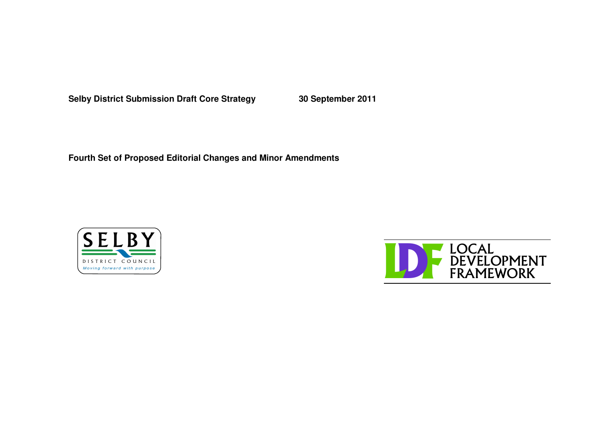**Selby District Submission Draft Core Strategy 30 September 2011**

**Fourth Set of Proposed Editorial Changes and Minor Amendments**



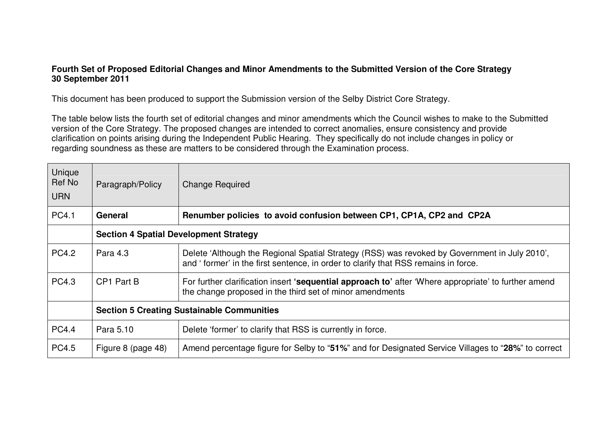## Fourth Set of Proposed Editorial Changes and Minor Amendments to the Submitted Version of the Core Strategy **30 September 2011**

This document has been produced to support the Submission version of the Selby District Core Strategy.

The table below lists the fourth set of editorial changes and minor amendments which the Council wishes to make to the Submitted version of the Core Strategy. The proposed changes are intended to correct anomalies, ensure consistency and provide clarification on points arising during the Independent Public Hearing. They specifically do not include changes in policy or regarding soundness as these are matters to be considered through the Examination process.

| Unique<br>Ref No<br><b>URN</b> | Paragraph/Policy                                  | <b>Change Required</b>                                                                                                                                                              |  |  |  |  |
|--------------------------------|---------------------------------------------------|-------------------------------------------------------------------------------------------------------------------------------------------------------------------------------------|--|--|--|--|
| PC4.1                          | General                                           | Renumber policies to avoid confusion between CP1, CP1A, CP2 and CP2A                                                                                                                |  |  |  |  |
|                                | <b>Section 4 Spatial Development Strategy</b>     |                                                                                                                                                                                     |  |  |  |  |
| PC4.2                          | Para 4.3                                          | Delete 'Although the Regional Spatial Strategy (RSS) was revoked by Government in July 2010',<br>and 'former' in the first sentence, in order to clarify that RSS remains in force. |  |  |  |  |
| PC4.3                          | CP1 Part B                                        | For further clarification insert 'sequential approach to' after 'Where appropriate' to further amend<br>the change proposed in the third set of minor amendments                    |  |  |  |  |
|                                | <b>Section 5 Creating Sustainable Communities</b> |                                                                                                                                                                                     |  |  |  |  |
| <b>PC4.4</b>                   | Para 5.10                                         | Delete 'former' to clarify that RSS is currently in force.                                                                                                                          |  |  |  |  |
| <b>PC4.5</b>                   | Figure 8 (page 48)                                | Amend percentage figure for Selby to "51%" and for Designated Service Villages to "28%" to correct                                                                                  |  |  |  |  |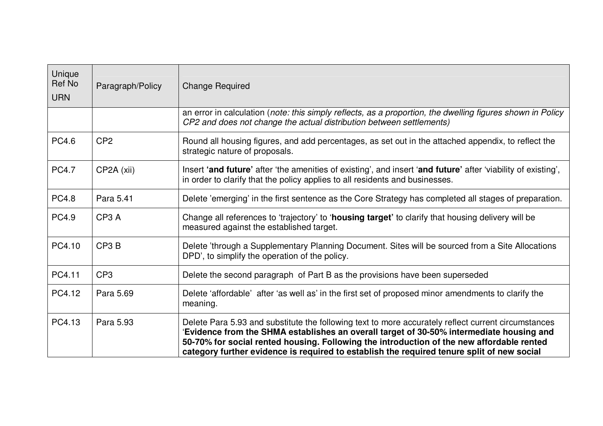| Unique<br>Ref No<br><b>URN</b> | Paragraph/Policy  | <b>Change Required</b>                                                                                                                                                                                                                                                                                                                                                                     |  |  |  |  |  |
|--------------------------------|-------------------|--------------------------------------------------------------------------------------------------------------------------------------------------------------------------------------------------------------------------------------------------------------------------------------------------------------------------------------------------------------------------------------------|--|--|--|--|--|
|                                |                   | an error in calculation (note: this simply reflects, as a proportion, the dwelling figures shown in Policy<br>CP2 and does not change the actual distribution between settlements)                                                                                                                                                                                                         |  |  |  |  |  |
| PC4.6                          | CP <sub>2</sub>   | Round all housing figures, and add percentages, as set out in the attached appendix, to reflect the<br>strategic nature of proposals.                                                                                                                                                                                                                                                      |  |  |  |  |  |
| <b>PC4.7</b>                   | CP2A (xii)        | Insert 'and future' after 'the amenities of existing', and insert 'and future' after 'viability of existing',<br>in order to clarify that the policy applies to all residents and businesses.                                                                                                                                                                                              |  |  |  |  |  |
| <b>PC4.8</b>                   | Para 5.41         | Delete 'emerging' in the first sentence as the Core Strategy has completed all stages of preparation.                                                                                                                                                                                                                                                                                      |  |  |  |  |  |
| <b>PC4.9</b>                   | CP <sub>3</sub> A | Change all references to 'trajectory' to 'housing target' to clarify that housing delivery will be<br>measured against the established target.                                                                                                                                                                                                                                             |  |  |  |  |  |
| PC4.10                         | CP <sub>3</sub> B | Delete 'through a Supplementary Planning Document. Sites will be sourced from a Site Allocations<br>DPD', to simplify the operation of the policy.                                                                                                                                                                                                                                         |  |  |  |  |  |
| PC4.11                         | CP <sub>3</sub>   | Delete the second paragraph of Part B as the provisions have been superseded                                                                                                                                                                                                                                                                                                               |  |  |  |  |  |
| PC4.12                         | Para 5.69         | Delete 'affordable' after 'as well as' in the first set of proposed minor amendments to clarify the<br>meaning.                                                                                                                                                                                                                                                                            |  |  |  |  |  |
| PC4.13                         | Para 5.93         | Delete Para 5.93 and substitute the following text to more accurately reflect current circumstances<br>'Evidence from the SHMA establishes an overall target of 30-50% intermediate housing and<br>50-70% for social rented housing. Following the introduction of the new affordable rented<br>category further evidence is required to establish the required tenure split of new social |  |  |  |  |  |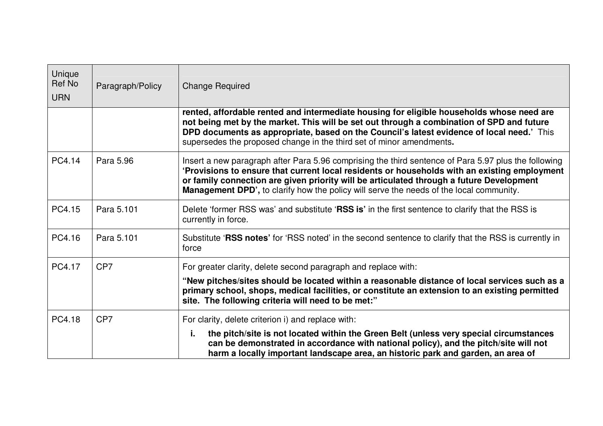| Unique<br>Ref No<br><b>URN</b> | Paragraph/Policy | <b>Change Required</b>                                                                                                                                                                                                                                                                                                                                                                      |
|--------------------------------|------------------|---------------------------------------------------------------------------------------------------------------------------------------------------------------------------------------------------------------------------------------------------------------------------------------------------------------------------------------------------------------------------------------------|
|                                |                  | rented, affordable rented and intermediate housing for eligible households whose need are<br>not being met by the market. This will be set out through a combination of SPD and future<br>DPD documents as appropriate, based on the Council's latest evidence of local need.' This<br>supersedes the proposed change in the third set of minor amendments.                                 |
| PC4.14                         | Para 5.96        | Insert a new paragraph after Para 5.96 comprising the third sentence of Para 5.97 plus the following<br>'Provisions to ensure that current local residents or households with an existing employment<br>or family connection are given priority will be articulated through a future Development<br>Management DPD', to clarify how the policy will serve the needs of the local community. |
| PC4.15                         | Para 5.101       | Delete 'former RSS was' and substitute 'RSS is' in the first sentence to clarify that the RSS is<br>currently in force.                                                                                                                                                                                                                                                                     |
| PC4.16                         | Para 5.101       | Substitute 'RSS notes' for 'RSS noted' in the second sentence to clarify that the RSS is currently in<br>force                                                                                                                                                                                                                                                                              |
| PC4.17                         | CP <sub>7</sub>  | For greater clarity, delete second paragraph and replace with:                                                                                                                                                                                                                                                                                                                              |
|                                |                  | "New pitches/sites should be located within a reasonable distance of local services such as a<br>primary school, shops, medical facilities, or constitute an extension to an existing permitted<br>site. The following criteria will need to be met:"                                                                                                                                       |
| PC4.18                         | CP <sub>7</sub>  | For clarity, delete criterion i) and replace with:                                                                                                                                                                                                                                                                                                                                          |
|                                |                  | the pitch/site is not located within the Green Belt (unless very special circumstances<br>i.<br>can be demonstrated in accordance with national policy), and the pitch/site will not<br>harm a locally important landscape area, an historic park and garden, an area of                                                                                                                    |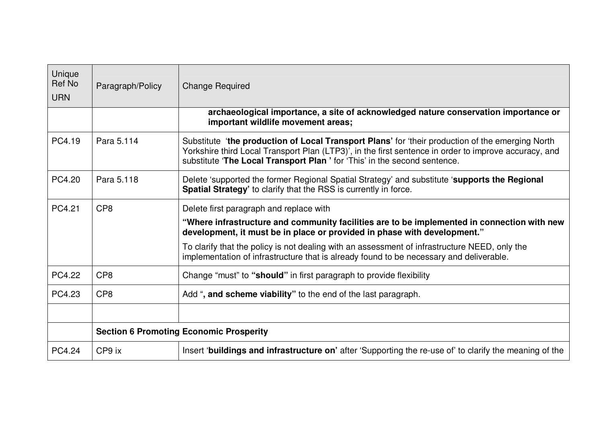| Unique<br><b>Ref No</b><br><b>URN</b> | Paragraph/Policy                               | <b>Change Required</b>                                                                                                                                                                                                                                                                                                                                                                                         |  |  |  |  |
|---------------------------------------|------------------------------------------------|----------------------------------------------------------------------------------------------------------------------------------------------------------------------------------------------------------------------------------------------------------------------------------------------------------------------------------------------------------------------------------------------------------------|--|--|--|--|
|                                       |                                                | archaeological importance, a site of acknowledged nature conservation importance or<br>important wildlife movement areas;                                                                                                                                                                                                                                                                                      |  |  |  |  |
| PC4.19                                | Para 5.114                                     | Substitute 'the production of Local Transport Plans' for 'their production of the emerging North<br>Yorkshire third Local Transport Plan (LTP3)', in the first sentence in order to improve accuracy, and<br>substitute 'The Local Transport Plan' for 'This' in the second sentence.                                                                                                                          |  |  |  |  |
| PC4.20                                | Para 5.118                                     | Delete 'supported the former Regional Spatial Strategy' and substitute 'supports the Regional<br>Spatial Strategy' to clarify that the RSS is currently in force.                                                                                                                                                                                                                                              |  |  |  |  |
| PC4.21                                | CP <sub>8</sub>                                | Delete first paragraph and replace with<br>"Where infrastructure and community facilities are to be implemented in connection with new<br>development, it must be in place or provided in phase with development."<br>To clarify that the policy is not dealing with an assessment of infrastructure NEED, only the<br>implementation of infrastructure that is already found to be necessary and deliverable. |  |  |  |  |
| PC4.22                                | CP <sub>8</sub>                                | Change "must" to "should" in first paragraph to provide flexibility                                                                                                                                                                                                                                                                                                                                            |  |  |  |  |
| PC4.23                                | CP <sub>8</sub>                                | Add ", and scheme viability" to the end of the last paragraph.                                                                                                                                                                                                                                                                                                                                                 |  |  |  |  |
|                                       | <b>Section 6 Promoting Economic Prosperity</b> |                                                                                                                                                                                                                                                                                                                                                                                                                |  |  |  |  |
| PC4.24                                | CP9 ix                                         | Insert 'buildings and infrastructure on' after 'Supporting the re-use of' to clarify the meaning of the                                                                                                                                                                                                                                                                                                        |  |  |  |  |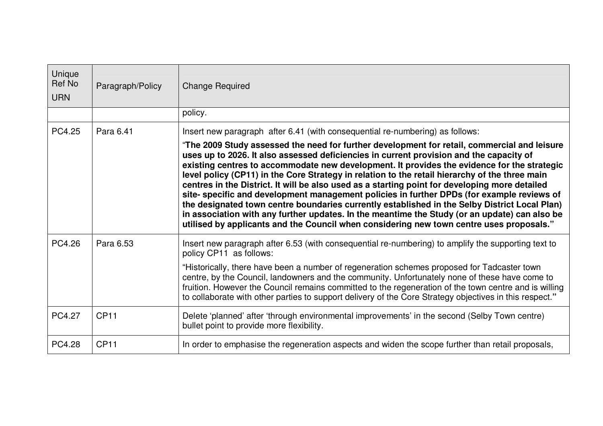| Unique<br>Ref No<br><b>URN</b> | Paragraph/Policy | <b>Change Required</b>                                                                                                                                                                                                                                                                                                                                                                                                                                                                                                                                                                       |
|--------------------------------|------------------|----------------------------------------------------------------------------------------------------------------------------------------------------------------------------------------------------------------------------------------------------------------------------------------------------------------------------------------------------------------------------------------------------------------------------------------------------------------------------------------------------------------------------------------------------------------------------------------------|
|                                |                  | policy.                                                                                                                                                                                                                                                                                                                                                                                                                                                                                                                                                                                      |
| PC4.25                         | Para 6.41        | Insert new paragraph after 6.41 (with consequential re-numbering) as follows:<br>"The 2009 Study assessed the need for further development for retail, commercial and leisure<br>uses up to 2026. It also assessed deficiencies in current provision and the capacity of<br>existing centres to accommodate new development. It provides the evidence for the strategic                                                                                                                                                                                                                      |
|                                |                  | level policy (CP11) in the Core Strategy in relation to the retail hierarchy of the three main<br>centres in the District. It will be also used as a starting point for developing more detailed<br>site- specific and development management policies in further DPDs (for example reviews of<br>the designated town centre boundaries currently established in the Selby District Local Plan)<br>in association with any further updates. In the meantime the Study (or an update) can also be<br>utilised by applicants and the Council when considering new town centre uses proposals." |
| PC4.26                         | Para 6.53        | Insert new paragraph after 6.53 (with consequential re-numbering) to amplify the supporting text to<br>policy CP11 as follows:<br>"Historically, there have been a number of regeneration schemes proposed for Tadcaster town<br>centre, by the Council, landowners and the community. Unfortunately none of these have come to<br>fruition. However the Council remains committed to the regeneration of the town centre and is willing<br>to collaborate with other parties to support delivery of the Core Strategy objectives in this respect."                                          |
| PC4.27                         | <b>CP11</b>      | Delete 'planned' after 'through environmental improvements' in the second (Selby Town centre)<br>bullet point to provide more flexibility.                                                                                                                                                                                                                                                                                                                                                                                                                                                   |
| PC4.28                         | <b>CP11</b>      | In order to emphasise the regeneration aspects and widen the scope further than retail proposals,                                                                                                                                                                                                                                                                                                                                                                                                                                                                                            |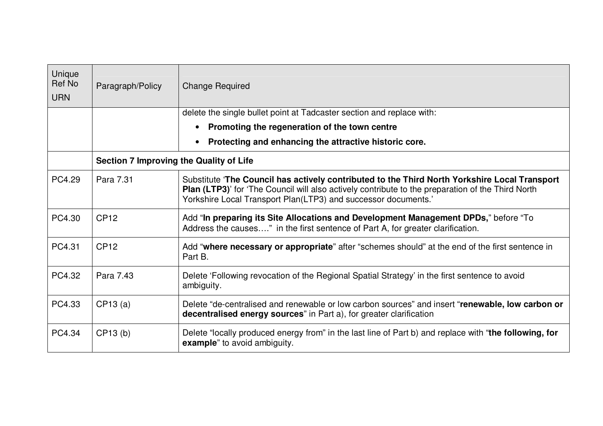| Unique<br><b>Ref No</b><br><b>URN</b> | Paragraph/Policy                               | <b>Change Required</b>                                                                                                                                                                                                                                               |  |  |  |  |  |
|---------------------------------------|------------------------------------------------|----------------------------------------------------------------------------------------------------------------------------------------------------------------------------------------------------------------------------------------------------------------------|--|--|--|--|--|
|                                       |                                                | delete the single bullet point at Tadcaster section and replace with:                                                                                                                                                                                                |  |  |  |  |  |
|                                       |                                                | Promoting the regeneration of the town centre<br>$\bullet$                                                                                                                                                                                                           |  |  |  |  |  |
|                                       |                                                | Protecting and enhancing the attractive historic core.<br>$\bullet$                                                                                                                                                                                                  |  |  |  |  |  |
|                                       | <b>Section 7 Improving the Quality of Life</b> |                                                                                                                                                                                                                                                                      |  |  |  |  |  |
| PC4.29                                | Para 7.31                                      | Substitute 'The Council has actively contributed to the Third North Yorkshire Local Transport<br>Plan (LTP3)' for 'The Council will also actively contribute to the preparation of the Third North<br>Yorkshire Local Transport Plan(LTP3) and successor documents.' |  |  |  |  |  |
| PC4.30                                | <b>CP12</b>                                    | Add "In preparing its Site Allocations and Development Management DPDs," before "To<br>Address the causes" in the first sentence of Part A, for greater clarification.                                                                                               |  |  |  |  |  |
| PC4.31                                | <b>CP12</b>                                    | Add "where necessary or appropriate" after "schemes should" at the end of the first sentence in<br>Part B.                                                                                                                                                           |  |  |  |  |  |
| PC4.32                                | Para 7.43                                      | Delete 'Following revocation of the Regional Spatial Strategy' in the first sentence to avoid<br>ambiguity.                                                                                                                                                          |  |  |  |  |  |
| PC4.33                                | CP13(a)                                        | Delete "de-centralised and renewable or low carbon sources" and insert "renewable, low carbon or<br>decentralised energy sources" in Part a), for greater clarification                                                                                              |  |  |  |  |  |
| PC4.34                                | CP13(b)                                        | Delete "locally produced energy from" in the last line of Part b) and replace with "the following, for<br>example" to avoid ambiguity.                                                                                                                               |  |  |  |  |  |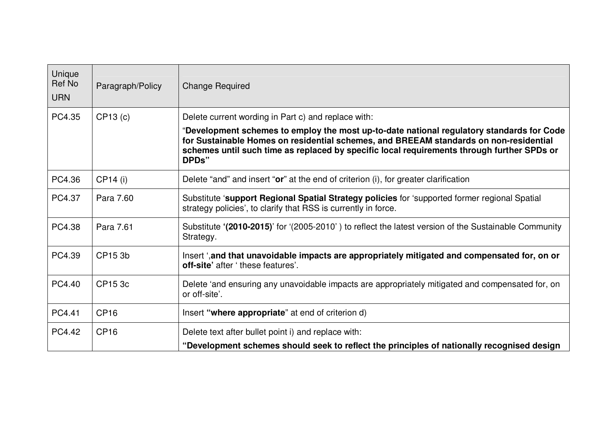| Unique<br><b>Ref No</b><br><b>URN</b> | Paragraph/Policy | <b>Change Required</b>                                                                                                                                                                                                                                                                    |  |  |  |  |
|---------------------------------------|------------------|-------------------------------------------------------------------------------------------------------------------------------------------------------------------------------------------------------------------------------------------------------------------------------------------|--|--|--|--|
| PC4.35                                | CP13(c)          | Delete current wording in Part c) and replace with:                                                                                                                                                                                                                                       |  |  |  |  |
|                                       |                  | "Development schemes to employ the most up-to-date national regulatory standards for Code<br>for Sustainable Homes on residential schemes, and BREEAM standards on non-residential<br>schemes until such time as replaced by specific local requirements through further SPDs or<br>DPDs" |  |  |  |  |
| PC4.36                                | CP14 (i)         | Delete "and" and insert "or" at the end of criterion (i), for greater clarification                                                                                                                                                                                                       |  |  |  |  |
| PC4.37                                | Para 7.60        | Substitute 'support Regional Spatial Strategy policies for 'supported former regional Spatial<br>strategy policies', to clarify that RSS is currently in force.                                                                                                                           |  |  |  |  |
| PC4.38                                | Para 7.61        | Substitute '(2010-2015)' for '(2005-2010') to reflect the latest version of the Sustainable Community<br>Strategy.                                                                                                                                                                        |  |  |  |  |
| PC4.39                                | CP15 3b          | Insert ', and that unavoidable impacts are appropriately mitigated and compensated for, on or<br>off-site' after 'these features'.                                                                                                                                                        |  |  |  |  |
| PC4.40                                | CP15 3c          | Delete 'and ensuring any unavoidable impacts are appropriately mitigated and compensated for, on<br>or off-site'.                                                                                                                                                                         |  |  |  |  |
| PC4.41                                | CP <sub>16</sub> | Insert "where appropriate" at end of criterion d)                                                                                                                                                                                                                                         |  |  |  |  |
| PC4.42                                | CP <sub>16</sub> | Delete text after bullet point i) and replace with:                                                                                                                                                                                                                                       |  |  |  |  |
|                                       |                  | "Development schemes should seek to reflect the principles of nationally recognised design                                                                                                                                                                                                |  |  |  |  |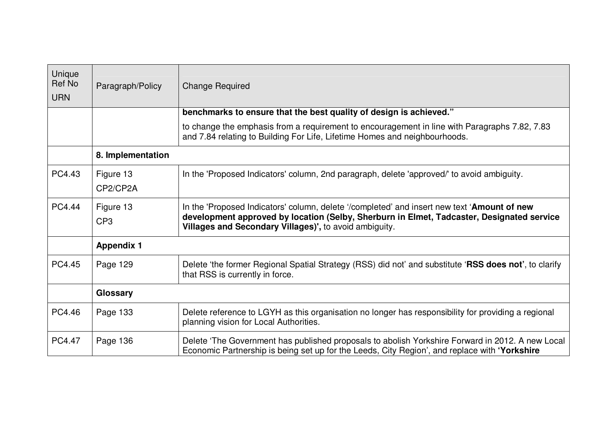| Unique<br><b>Ref No</b><br><b>URN</b> | Paragraph/Policy             | <b>Change Required</b>                                                                                                                                                                                                                             |  |  |  |  |  |
|---------------------------------------|------------------------------|----------------------------------------------------------------------------------------------------------------------------------------------------------------------------------------------------------------------------------------------------|--|--|--|--|--|
|                                       |                              | benchmarks to ensure that the best quality of design is achieved."                                                                                                                                                                                 |  |  |  |  |  |
|                                       |                              | to change the emphasis from a requirement to encouragement in line with Paragraphs 7.82, 7.83<br>and 7.84 relating to Building For Life, Lifetime Homes and neighbourhoods.                                                                        |  |  |  |  |  |
|                                       | 8. Implementation            |                                                                                                                                                                                                                                                    |  |  |  |  |  |
| PC4.43                                | Figure 13<br>CP2/CP2A        | In the 'Proposed Indicators' column, 2nd paragraph, delete 'approved/' to avoid ambiguity.                                                                                                                                                         |  |  |  |  |  |
| PC4.44                                | Figure 13<br>CP <sub>3</sub> | In the 'Proposed Indicators' column, delete '/completed' and insert new text 'Amount of new<br>development approved by location (Selby, Sherburn in Elmet, Tadcaster, Designated service<br>Villages and Secondary Villages)', to avoid ambiguity. |  |  |  |  |  |
|                                       | <b>Appendix 1</b>            |                                                                                                                                                                                                                                                    |  |  |  |  |  |
| PC4.45                                | Page 129                     | Delete 'the former Regional Spatial Strategy (RSS) did not' and substitute 'RSS does not', to clarify<br>that RSS is currently in force.                                                                                                           |  |  |  |  |  |
|                                       | Glossary                     |                                                                                                                                                                                                                                                    |  |  |  |  |  |
| PC4.46                                | Page 133                     | Delete reference to LGYH as this organisation no longer has responsibility for providing a regional<br>planning vision for Local Authorities.                                                                                                      |  |  |  |  |  |
| PC4.47                                | Page 136                     | Delete 'The Government has published proposals to abolish Yorkshire Forward in 2012. A new Local<br>Economic Partnership is being set up for the Leeds, City Region', and replace with 'Yorkshire                                                  |  |  |  |  |  |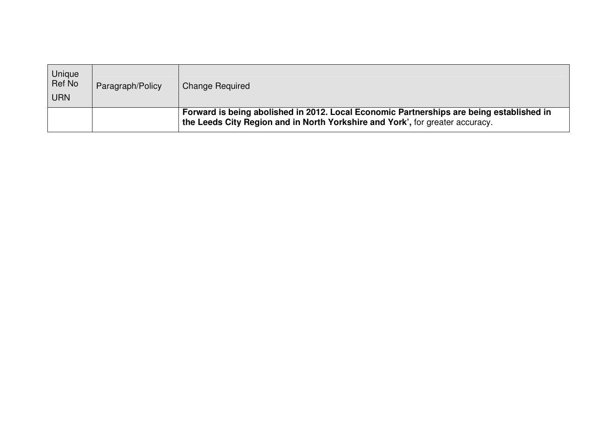| Unique<br><b>Ref No</b><br><b>URN</b> | Paragraph/Policy | <b>Change Required</b>                                                                                                                                                    |
|---------------------------------------|------------------|---------------------------------------------------------------------------------------------------------------------------------------------------------------------------|
|                                       |                  | Forward is being abolished in 2012. Local Economic Partnerships are being established in<br>the Leeds City Region and in North Yorkshire and York', for greater accuracy. |